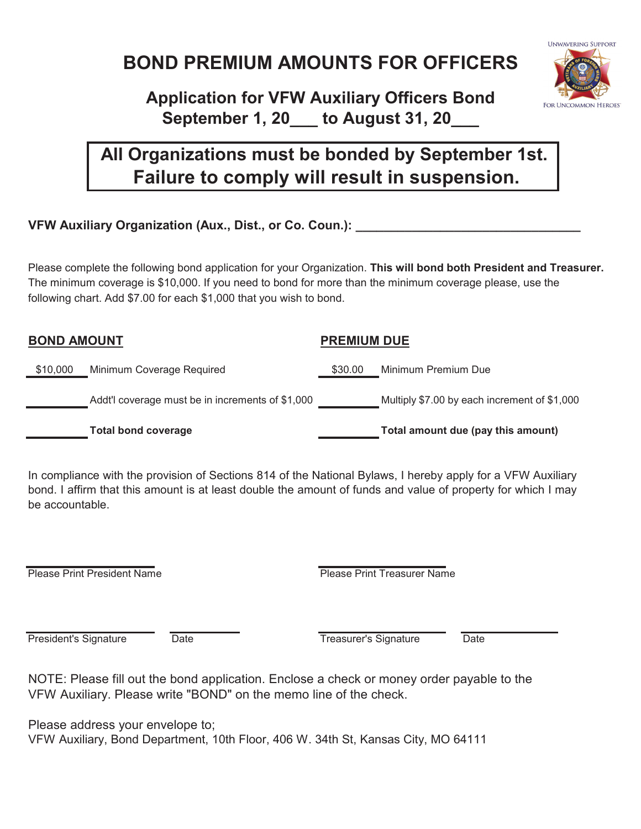# **BOND PREMIUM AMOUNTS FOR OFFICERS**

## **Application for VFW Auxiliary Officers Bond September 1, 20\_\_\_ to August 31, 20\_\_\_**

## **All Organizations must be bonded by September 1st. Failure to comply will result in suspension.**

#### **VFW Auxiliary Organization (Aux., Dist., or Co. Coun.):**  $\blacksquare$

Please complete the following bond application for your Organization. **This will bond both President and Treasurer.**  The minimum coverage is \$10,000. If you need to bond for more than the minimum coverage please, use the following chart. Add \$7.00 for each \$1,000 that you wish to bond.

# **BOND AMOUNT PREMIUM DUE** \$10,000 Minimum Coverage Required \$30.00 Minimum Premium Due Addt'l coverage must be in increments of \$1,000 Multiply \$7.00 by each increment of \$1,000 Total bond coverage **Total amount due (pay this amount)**

In compliance with the provision of Sections 814 of the National Bylaws, I hereby apply for a VFW Auxiliary bond. I affirm that this amount is at least double the amount of funds and value of property for which I may be accountable.

Please Print President Name **Please Print Treasurer Name** 

**President's Signature Date Community Community** Date Treasurer's Signature Date

NOTE: Please fill out the bond application. Enclose a check or money order payable to the VFW Auxiliary. Please write "BOND" on the memo line of the check.

Please address your envelope to; VFW Auxiliary, Bond Department, 10th Floor, 406 W. 34th St, Kansas City, MO 64111